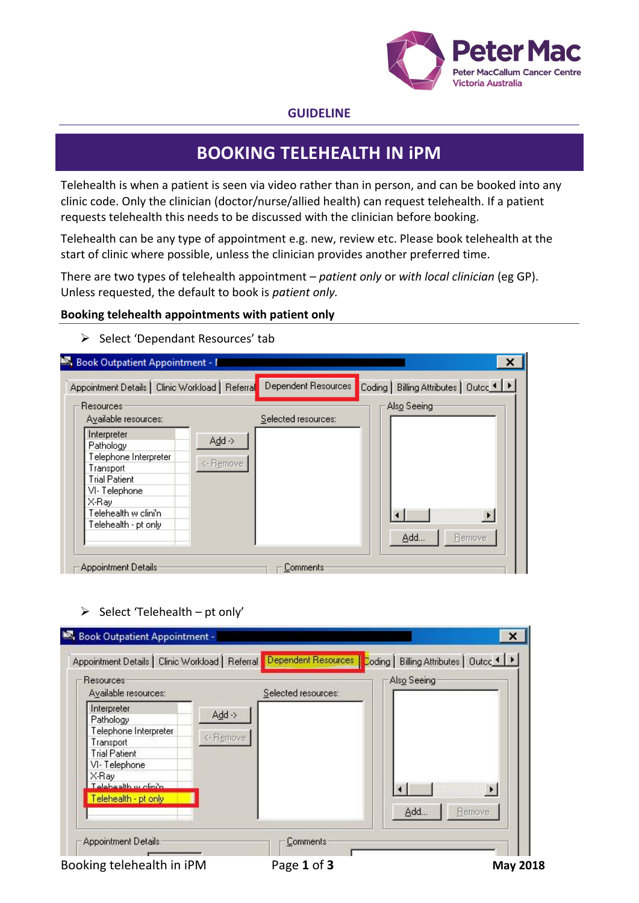

### **GUIDELINE**

# **BOOKING TELEHEALTH IN iPM**

Telehealth is when a patient is seen via video rather than in person, and can be booked into any clinic code. Only the clinician (doctor/nurse/allied health) can request telehealth. If a patient requests telehealth this needs to be discussed with the clinician before booking.

Telehealth can be any type of appointment e.g. new, review etc. Please book telehealth at the start of clinic where possible, unless the clinician provides another preferred time.

There are two types of telehealth appointment – *patient only* or *with local clinician* (eg GP). Unless requested, the default to book is *patient only.*

#### **Booking telehealth appointments with patient only**

| Appointment Details   Clinic Workload   Referral                                                                                                                |                     | Dependent Resources | Billing Attributes   Outco 1    <br>Coding |
|-----------------------------------------------------------------------------------------------------------------------------------------------------------------|---------------------|---------------------|--------------------------------------------|
| <b>Resources:</b><br>Available resources:                                                                                                                       |                     | Selected resources: | Als <u>o</u> Seeing                        |
| Interpreter<br>Pathology<br>Telephone Interpreter<br>Transport<br><b>Trial Patient</b><br>VI-Telephone<br>X-Ray<br>Telehealth w clini'n<br>Telehealth - pt only | Add -><br><- Remove |                     | $\overline{\phantom{a}}$<br>Add<br>Bemove  |

 $\triangleright$  Select 'Dependant Resources' tab

#### $\triangleright$  Select 'Telehealth – pt only'

| Selected resources:<br>$Add \rightarrow$ |           |  |
|------------------------------------------|-----------|--|
|                                          |           |  |
|                                          |           |  |
|                                          |           |  |
|                                          |           |  |
|                                          |           |  |
|                                          |           |  |
|                                          |           |  |
|                                          |           |  |
|                                          |           |  |
|                                          | <- Remove |  |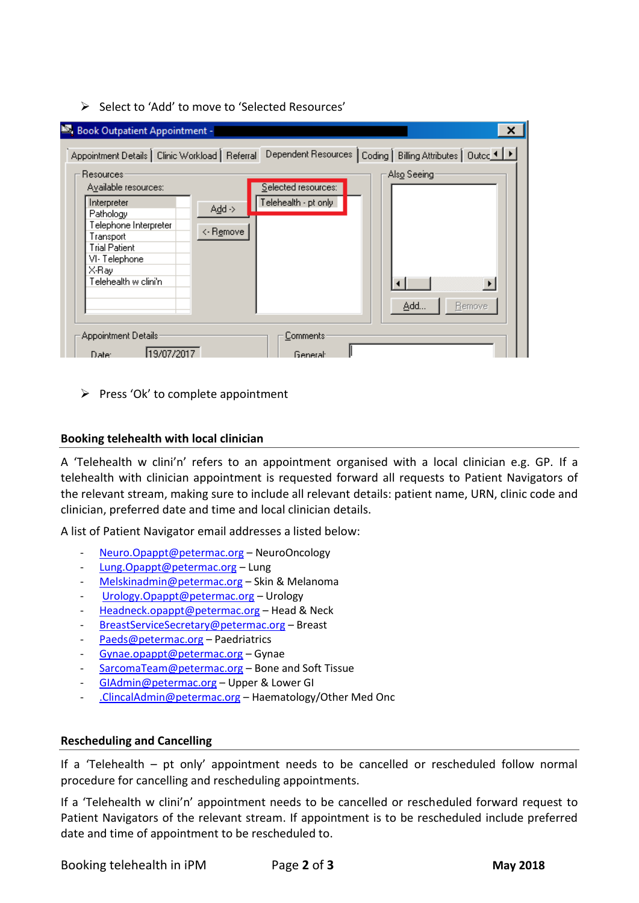Select to 'Add' to move to 'Selected Resources'

| Book Outpatient Appointment -                                                                                                                                          |                                |                                             | х                                                             |
|------------------------------------------------------------------------------------------------------------------------------------------------------------------------|--------------------------------|---------------------------------------------|---------------------------------------------------------------|
| Appointment Details   Clinic Workload   Referral                                                                                                                       |                                |                                             | Dependent Resources   Coding   Billing Attributes   Outco ◀ ▶ |
| Resources:<br>Available resources:<br>Interpreter<br>Pathology<br>Telephone Interpreter<br>Transport<br>Trial Patient<br>VI-Telephone<br>X-Ray<br>Telehealth w clini'n | $Add \rightarrow$<br><- Remove | Selected resources:<br>Telehealth - pt only | Als <u>o</u> Seeing<br>Add<br>Bemove                          |
| Appointment Details:<br>119/07/2017<br>Date:                                                                                                                           |                                | Comments:<br>General:                       |                                                               |

 $\triangleright$  Press 'Ok' to complete appointment

#### **Booking telehealth with local clinician**

A 'Telehealth w clini'n' refers to an appointment organised with a local clinician e.g. GP. If a telehealth with clinician appointment is requested forward all requests to Patient Navigators of the relevant stream, making sure to include all relevant details: patient name, URN, clinic code and clinician, preferred date and time and local clinician details.

A list of Patient Navigator email addresses a listed below:

- [Neuro.Opappt@petermac.org](mailto:Neuro.Opappt@petermac.org) NeuroOncology
- [Lung.Opappt@petermac.org](mailto:Lung.Opappt@petermac.org) Lung
- [Melskinadmin@petermac.org](mailto:Melskinadmin@petermac.org) Skin & Melanoma
- [Urology.Opappt@petermac.org](mailto:Urology.Opappt@petermac.org) Urology
- [Headneck.opappt@petermac.org](mailto:Headneck.opappt@petermac.org) Head & Neck
- [BreastServiceSecretary@petermac.org](mailto:BreastServiceSecretary@petermac.org) Breast
- [Paeds@petermac.org](mailto:Paeds@petermac.org) Paedriatrics
- [Gynae.opappt@petermac.org](mailto:Gynae.opappt@petermac.org) Gynae
- [SarcomaTeam@petermac.org](mailto:SarcomaTeam@petermac.org) Bone and Soft Tissue
- [GIAdmin@petermac.org](mailto:GIAdmin@petermac.org) Upper & Lower GI
- [.ClincalAdmin@petermac.org](mailto:.ClincalAdmin@petermac.org) Haematology/Other Med Onc

#### **Rescheduling and Cancelling**

If a 'Telehealth – pt only' appointment needs to be cancelled or rescheduled follow normal procedure for cancelling and rescheduling appointments.

If a 'Telehealth w clini'n' appointment needs to be cancelled or rescheduled forward request to Patient Navigators of the relevant stream. If appointment is to be rescheduled include preferred date and time of appointment to be rescheduled to.